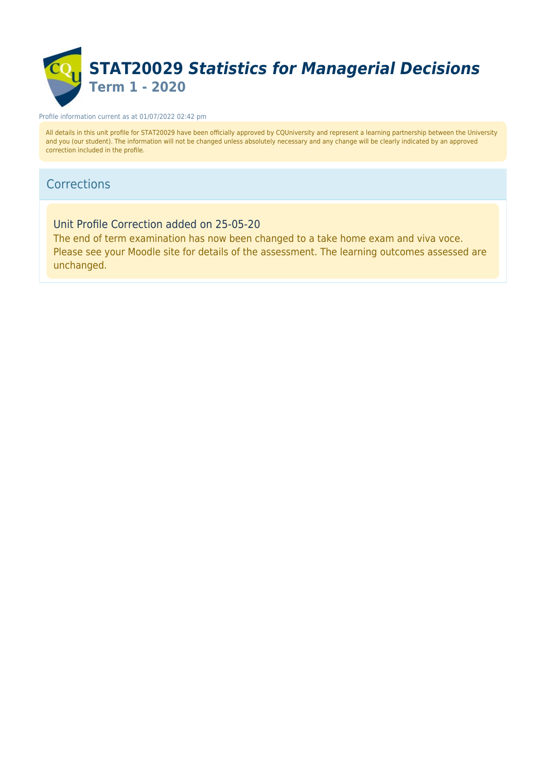

#### Profile information current as at 01/07/2022 02:42 pm

All details in this unit profile for STAT20029 have been officially approved by CQUniversity and represent a learning partnership between the University and you (our student). The information will not be changed unless absolutely necessary and any change will be clearly indicated by an approved correction included in the profile.

### **Corrections**

Unit Profile Correction added on 25-05-20

The end of term examination has now been changed to a take home exam and viva voce. Please see your Moodle site for details of the assessment. The learning outcomes assessed are unchanged.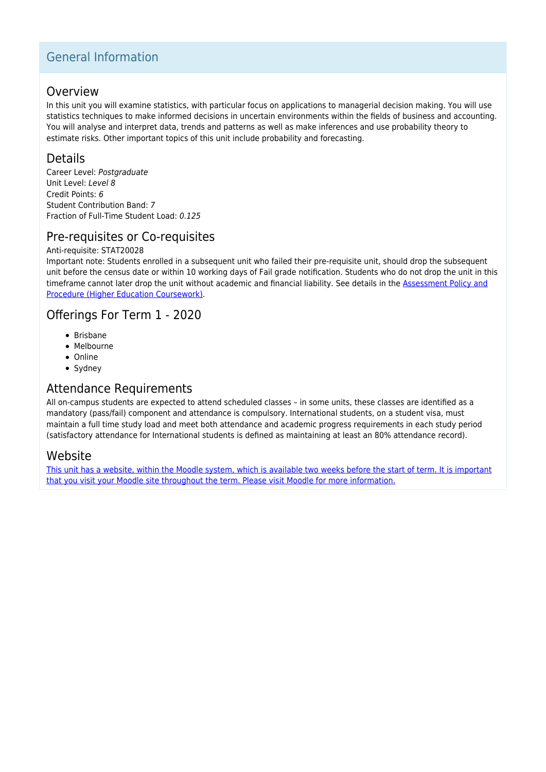## General Information

### Overview

In this unit you will examine statistics, with particular focus on applications to managerial decision making. You will use statistics techniques to make informed decisions in uncertain environments within the fields of business and accounting. You will analyse and interpret data, trends and patterns as well as make inferences and use probability theory to estimate risks. Other important topics of this unit include probability and forecasting.

### Details

Career Level: Postgraduate Unit Level: Level 8 Credit Points: 6 Student Contribution Band: 7 Fraction of Full-Time Student Load: 0.125

## Pre-requisites or Co-requisites

#### Anti-requisite: STAT20028

Important note: Students enrolled in a subsequent unit who failed their pre-requisite unit, should drop the subsequent unit before the census date or within 10 working days of Fail grade notification. Students who do not drop the unit in this timeframe cannot later drop the unit without academic and financial liability. See details in the [Assessment Policy and](https://www.cqu.edu.au/policy) [Procedure \(Higher Education Coursework\)](https://www.cqu.edu.au/policy).

### Offerings For Term 1 - 2020

- Brisbane
- Melbourne
- Online
- Sydney

### Attendance Requirements

All on-campus students are expected to attend scheduled classes – in some units, these classes are identified as a mandatory (pass/fail) component and attendance is compulsory. International students, on a student visa, must maintain a full time study load and meet both attendance and academic progress requirements in each study period (satisfactory attendance for International students is defined as maintaining at least an 80% attendance record).

### Website

[This unit has a website, within the Moodle system, which is available two weeks before the start of term. It is important](https://moodle.cqu.edu.au) [that you visit your Moodle site throughout the term. Please visit Moodle for more information.](https://moodle.cqu.edu.au)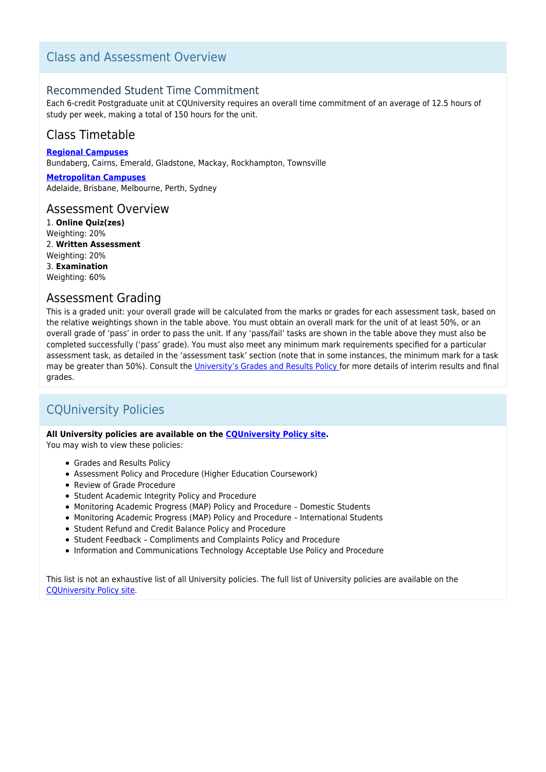## Class and Assessment Overview

### Recommended Student Time Commitment

Each 6-credit Postgraduate unit at CQUniversity requires an overall time commitment of an average of 12.5 hours of study per week, making a total of 150 hours for the unit.

## Class Timetable

**[Regional Campuses](https://handbook.cqu.edu.au/facet/timetables)** Bundaberg, Cairns, Emerald, Gladstone, Mackay, Rockhampton, Townsville

**[Metropolitan Campuses](https://handbook.cqu.edu.au/facet/timetables)** Adelaide, Brisbane, Melbourne, Perth, Sydney

### Assessment Overview

1. **Online Quiz(zes)** Weighting: 20% 2. **Written Assessment** Weighting: 20% 3. **Examination** Weighting: 60%

### Assessment Grading

This is a graded unit: your overall grade will be calculated from the marks or grades for each assessment task, based on the relative weightings shown in the table above. You must obtain an overall mark for the unit of at least 50%, or an overall grade of 'pass' in order to pass the unit. If any 'pass/fail' tasks are shown in the table above they must also be completed successfully ('pass' grade). You must also meet any minimum mark requirements specified for a particular assessment task, as detailed in the 'assessment task' section (note that in some instances, the minimum mark for a task may be greater than 50%). Consult the *University's Grades and Results Policy* for more details of interim results and final grades.

## CQUniversity Policies

#### **All University policies are available on the [CQUniversity Policy site.](https://policy.cqu.edu.au/)**

You may wish to view these policies:

- Grades and Results Policy
- Assessment Policy and Procedure (Higher Education Coursework)
- Review of Grade Procedure
- Student Academic Integrity Policy and Procedure
- Monitoring Academic Progress (MAP) Policy and Procedure Domestic Students
- Monitoring Academic Progress (MAP) Policy and Procedure International Students
- Student Refund and Credit Balance Policy and Procedure
- Student Feedback Compliments and Complaints Policy and Procedure
- Information and Communications Technology Acceptable Use Policy and Procedure

This list is not an exhaustive list of all University policies. The full list of University policies are available on the [CQUniversity Policy site.](https://policy.cqu.edu.au/)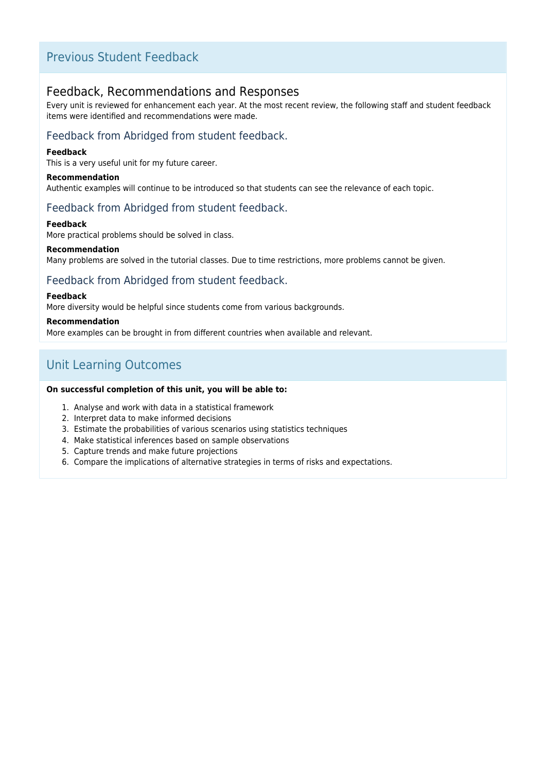## Previous Student Feedback

### Feedback, Recommendations and Responses

Every unit is reviewed for enhancement each year. At the most recent review, the following staff and student feedback items were identified and recommendations were made.

### Feedback from Abridged from student feedback.

#### **Feedback**

This is a very useful unit for my future career.

#### **Recommendation**

Authentic examples will continue to be introduced so that students can see the relevance of each topic.

### Feedback from Abridged from student feedback.

#### **Feedback**

More practical problems should be solved in class.

#### **Recommendation**

Many problems are solved in the tutorial classes. Due to time restrictions, more problems cannot be given.

### Feedback from Abridged from student feedback.

#### **Feedback**

More diversity would be helpful since students come from various backgrounds.

#### **Recommendation**

More examples can be brought in from different countries when available and relevant.

## Unit Learning Outcomes

#### **On successful completion of this unit, you will be able to:**

- 1. Analyse and work with data in a statistical framework
- 2. Interpret data to make informed decisions
- 3. Estimate the probabilities of various scenarios using statistics techniques
- 4. Make statistical inferences based on sample observations
- 5. Capture trends and make future projections
- 6. Compare the implications of alternative strategies in terms of risks and expectations.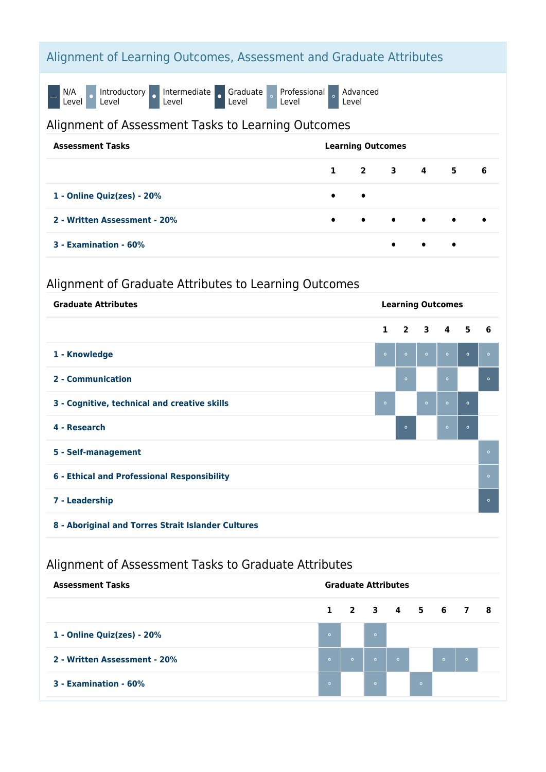# Alignment of Learning Outcomes, Assessment and Graduate Attributes

N/A<br>Level O Introductory o Intermediate o Graduate Level Professional Level Advanced Level

### Alignment of Assessment Tasks to Learning Outcomes

| <b>Assessment Tasks</b>      | <b>Learning Outcomes</b> |  |           |           |                                                   |           |
|------------------------------|--------------------------|--|-----------|-----------|---------------------------------------------------|-----------|
|                              | $\mathbf{1}$             |  |           |           | 2 3 4 5                                           | 6         |
| 1 - Online Quiz(zes) - 20%   | $\bullet$ $\bullet$      |  |           |           |                                                   |           |
| 2 - Written Assessment - 20% |                          |  |           |           | $\bullet$ $\bullet$ $\bullet$ $\bullet$ $\bullet$ | $\bullet$ |
| 3 - Examination - 60%        |                          |  | $\bullet$ | $\bullet$ | $\bullet$                                         |           |

## Alignment of Graduate Attributes to Learning Outcomes

| <b>Graduate Attributes</b>                   | <b>Learning Outcomes</b> |                |                         |           |         |         |
|----------------------------------------------|--------------------------|----------------|-------------------------|-----------|---------|---------|
|                                              | $\mathbf{1}$             | $\overline{2}$ | $\overline{\mathbf{3}}$ | 4 5       |         | 6       |
| 1 - Knowledge                                | $\circ$                  | $\circ$        | $\circ$                 | $\bullet$ | $\circ$ | $\circ$ |
| 2 - Communication                            |                          | $\circ$        |                         | $\circ$   |         | $\circ$ |
| 3 - Cognitive, technical and creative skills | $\circ$                  |                | $\circ$                 | $\circ$   | $\circ$ |         |
| 4 - Research                                 |                          | $\circ$        |                         | $\circ$   | $\circ$ |         |
| 5 - Self-management                          |                          |                |                         |           |         | $\circ$ |
| 6 - Ethical and Professional Responsibility  |                          |                |                         |           |         | $\circ$ |
| 7 - Leadership                               |                          |                |                         |           |         | $\circ$ |
|                                              |                          |                |                         |           |         |         |

**8 - Aboriginal and Torres Strait Islander Cultures**

# Alignment of Assessment Tasks to Graduate Attributes

| <b>Assessment Tasks</b>      | <b>Graduate Attributes</b> |         |                 |         |         |                 |         |  |
|------------------------------|----------------------------|---------|-----------------|---------|---------|-----------------|---------|--|
|                              |                            |         | 1 2 3 4 5 6 7 8 |         |         |                 |         |  |
| 1 - Online Quiz(zes) - 20%   | $\circ$                    |         | $\circ$         |         |         |                 |         |  |
| 2 - Written Assessment - 20% | $\circ$                    | $\circ$ | $\circ$         | $\circ$ |         | $\sim$ 0 $\sim$ | $\circ$ |  |
| 3 - Examination - 60%        | $\circ$                    |         | $\circ$         |         | $\circ$ |                 |         |  |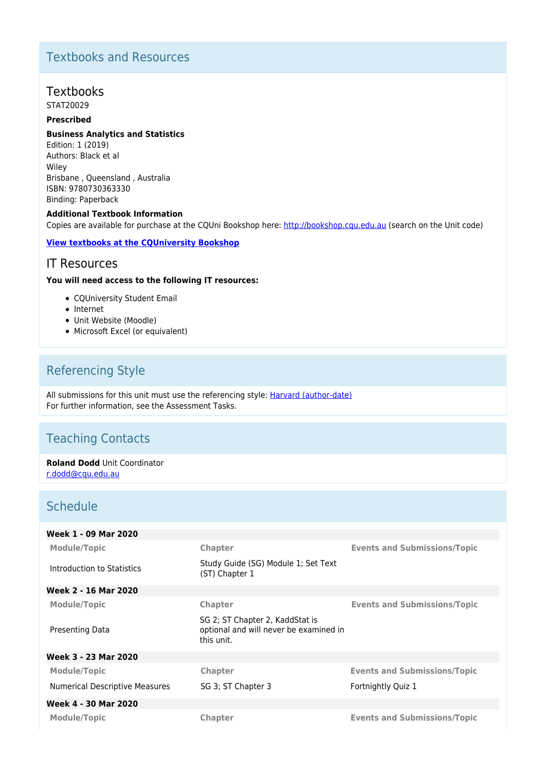# Textbooks and Resources

## Textbooks

STAT20029

### **Prescribed**

#### **Business Analytics and Statistics**

Edition: 1 (2019) Authors: Black et al Wiley Brisbane , Queensland , Australia ISBN: 9780730363330 Binding: Paperback

#### **Additional Textbook Information**

Copies are available for purchase at the CQUni Bookshop here: [http://bookshop.cqu.edu.au](http://bookshop.cqu.edu.au/) (search on the Unit code)

#### **[View textbooks at the CQUniversity Bookshop](https://bookshop.cqu.edu.au/)**

### IT Resources

#### **You will need access to the following IT resources:**

- COUniversity Student Email
- Internet
- Unit Website (Moodle)
- Microsoft Excel (or equivalent)

## Referencing Style

All submissions for this unit must use the referencing style: [Harvard \(author-date\)](https://delivery-cqucontenthub.stylelabs.cloud/api/public/content/harvard-referencing-style.pdf?v=306efe7e) For further information, see the Assessment Tasks.

## Teaching Contacts

**Roland Dodd** Unit Coordinator [r.dodd@cqu.edu.au](mailto:r.dodd@cqu.edu.au)

## **Schedule**

| Week 1 - 09 Mar 2020           |                                                                                         |                                     |
|--------------------------------|-----------------------------------------------------------------------------------------|-------------------------------------|
| <b>Module/Topic</b>            | Chapter                                                                                 | <b>Events and Submissions/Topic</b> |
| Introduction to Statistics     | Study Guide (SG) Module 1; Set Text<br>(ST) Chapter 1                                   |                                     |
| Week 2 - 16 Mar 2020           |                                                                                         |                                     |
| <b>Module/Topic</b>            | Chapter                                                                                 | <b>Events and Submissions/Topic</b> |
| Presenting Data                | SG 2; ST Chapter 2, KaddStat is<br>optional and will never be examined in<br>this unit. |                                     |
| Week 3 - 23 Mar 2020           |                                                                                         |                                     |
| Module/Topic                   | <b>Chapter</b>                                                                          | <b>Events and Submissions/Topic</b> |
| Numerical Descriptive Measures | SG 3; ST Chapter 3                                                                      | Fortnightly Quiz 1                  |
| Week 4 - 30 Mar 2020           |                                                                                         |                                     |
| <b>Module/Topic</b>            | <b>Chapter</b>                                                                          | <b>Events and Submissions/Topic</b> |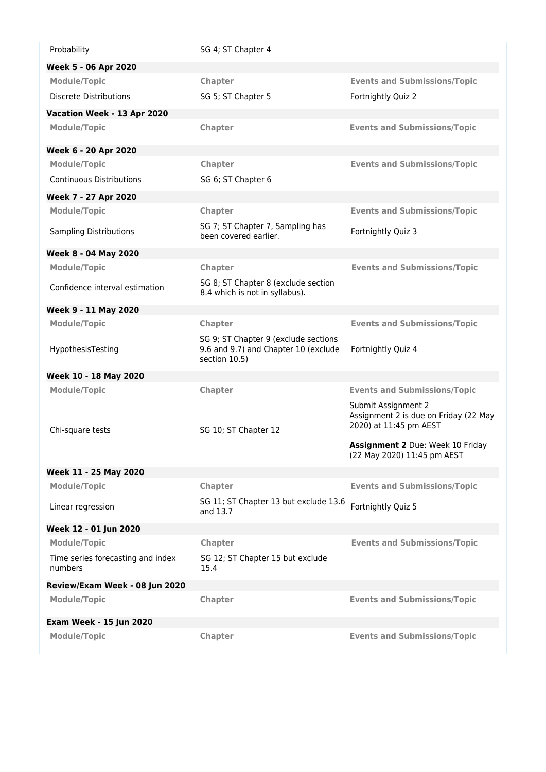| Probability                                  | SG 4; ST Chapter 4                                                                            |                                                                                        |
|----------------------------------------------|-----------------------------------------------------------------------------------------------|----------------------------------------------------------------------------------------|
| Week 5 - 06 Apr 2020                         |                                                                                               |                                                                                        |
| <b>Module/Topic</b>                          | Chapter                                                                                       | <b>Events and Submissions/Topic</b>                                                    |
| <b>Discrete Distributions</b>                | SG 5; ST Chapter 5                                                                            | Fortnightly Quiz 2                                                                     |
| Vacation Week - 13 Apr 2020                  |                                                                                               |                                                                                        |
| <b>Module/Topic</b>                          | Chapter                                                                                       | <b>Events and Submissions/Topic</b>                                                    |
| Week 6 - 20 Apr 2020                         |                                                                                               |                                                                                        |
| <b>Module/Topic</b>                          | Chapter                                                                                       | <b>Events and Submissions/Topic</b>                                                    |
| <b>Continuous Distributions</b>              | SG 6; ST Chapter 6                                                                            |                                                                                        |
| Week 7 - 27 Apr 2020                         |                                                                                               |                                                                                        |
| <b>Module/Topic</b>                          | Chapter                                                                                       | <b>Events and Submissions/Topic</b>                                                    |
| <b>Sampling Distributions</b>                | SG 7; ST Chapter 7, Sampling has<br>been covered earlier.                                     | Fortnightly Quiz 3                                                                     |
| Week 8 - 04 May 2020                         |                                                                                               |                                                                                        |
| <b>Module/Topic</b>                          | Chapter                                                                                       | <b>Events and Submissions/Topic</b>                                                    |
| Confidence interval estimation               | SG 8; ST Chapter 8 (exclude section<br>8.4 which is not in syllabus).                         |                                                                                        |
| Week 9 - 11 May 2020                         |                                                                                               |                                                                                        |
| <b>Module/Topic</b>                          | <b>Chapter</b>                                                                                | <b>Events and Submissions/Topic</b>                                                    |
| HypothesisTesting                            | SG 9; ST Chapter 9 (exclude sections<br>9.6 and 9.7) and Chapter 10 (exclude<br>section 10.5) | Fortnightly Quiz 4                                                                     |
| Week 10 - 18 May 2020                        |                                                                                               |                                                                                        |
| <b>Module/Topic</b>                          | <b>Chapter</b>                                                                                | <b>Events and Submissions/Topic</b>                                                    |
| Chi-square tests                             | SG 10; ST Chapter 12                                                                          | Submit Assignment 2<br>Assignment 2 is due on Friday (22 May<br>2020) at 11:45 pm AEST |
|                                              |                                                                                               | Assignment 2 Due: Week 10 Friday<br>(22 May 2020) 11:45 pm AEST                        |
| Week 11 - 25 May 2020                        |                                                                                               |                                                                                        |
| <b>Module/Topic</b>                          | Chapter                                                                                       | <b>Events and Submissions/Topic</b>                                                    |
| Linear regression                            | SG 11; ST Chapter 13 but exclude 13.6<br>and 13.7                                             | Fortnightly Quiz 5                                                                     |
| Week 12 - 01 Jun 2020                        |                                                                                               |                                                                                        |
| <b>Module/Topic</b>                          | Chapter                                                                                       | <b>Events and Submissions/Topic</b>                                                    |
| Time series forecasting and index<br>numbers | SG 12; ST Chapter 15 but exclude<br>15.4                                                      |                                                                                        |
| Review/Exam Week - 08 Jun 2020               |                                                                                               |                                                                                        |
| <b>Module/Topic</b>                          | Chapter                                                                                       | <b>Events and Submissions/Topic</b>                                                    |
| <b>Exam Week - 15 Jun 2020</b>               |                                                                                               |                                                                                        |
| <b>Module/Topic</b>                          | Chapter                                                                                       | <b>Events and Submissions/Topic</b>                                                    |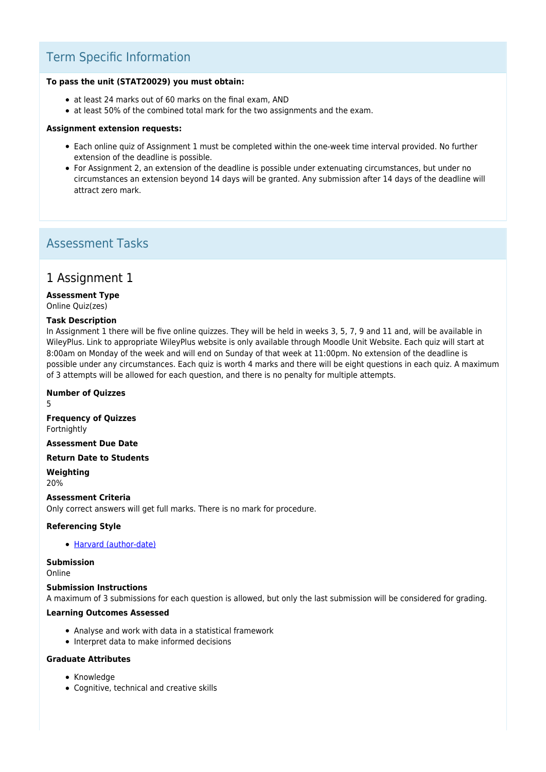## Term Specific Information

#### **To pass the unit (STAT20029) you must obtain:**

- at least 24 marks out of 60 marks on the final exam, AND
- at least 50% of the combined total mark for the two assignments and the exam.

#### **Assignment extension requests:**

- Each online quiz of Assignment 1 must be completed within the one-week time interval provided. No further extension of the deadline is possible.
- For Assignment 2, an extension of the deadline is possible under extenuating circumstances, but under no circumstances an extension beyond 14 days will be granted. Any submission after 14 days of the deadline will attract zero mark.

### Assessment Tasks

### 1 Assignment 1

### **Assessment Type**

Online Quiz(zes)

#### **Task Description**

In Assignment 1 there will be five online quizzes. They will be held in weeks 3, 5, 7, 9 and 11 and, will be available in WileyPlus. Link to appropriate WileyPlus website is only available through Moodle Unit Website. Each quiz will start at 8:00am on Monday of the week and will end on Sunday of that week at 11:00pm. No extension of the deadline is possible under any circumstances. Each quiz is worth 4 marks and there will be eight questions in each quiz. A maximum of 3 attempts will be allowed for each question, and there is no penalty for multiple attempts.

#### **Number of Quizzes**

5

**Frequency of Quizzes** Fortnightly

**Assessment Due Date**

**Return Date to Students**

**Weighting** 20%

#### **Assessment Criteria**

Only correct answers will get full marks. There is no mark for procedure.

#### **Referencing Style**

• [Harvard \(author-date\)](https://delivery-cqucontenthub.stylelabs.cloud/api/public/content/harvard-referencing-style.pdf?v=306efe7e)

#### **Submission**

Online

#### **Submission Instructions**

A maximum of 3 submissions for each question is allowed, but only the last submission will be considered for grading.

#### **Learning Outcomes Assessed**

- Analyse and work with data in a statistical framework
- Interpret data to make informed decisions

#### **Graduate Attributes**

- Knowledge
- Cognitive, technical and creative skills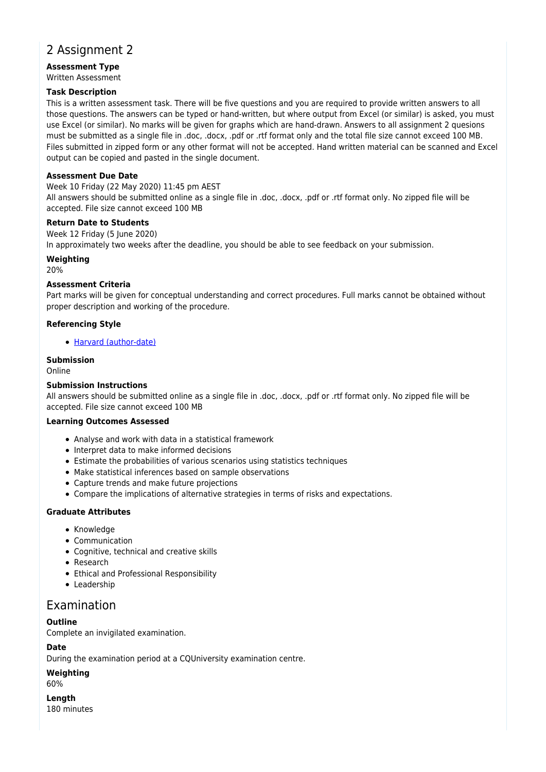## 2 Assignment 2

**Assessment Type** Written Assessment

#### **Task Description**

This is a written assessment task. There will be five questions and you are required to provide written answers to all those questions. The answers can be typed or hand-written, but where output from Excel (or similar) is asked, you must use Excel (or similar). No marks will be given for graphs which are hand-drawn. Answers to all assignment 2 quesions must be submitted as a single file in .doc, .docx, .pdf or .rtf format only and the total file size cannot exceed 100 MB. Files submitted in zipped form or any other format will not be accepted. Hand written material can be scanned and Excel output can be copied and pasted in the single document.

#### **Assessment Due Date**

Week 10 Friday (22 May 2020) 11:45 pm AEST

All answers should be submitted online as a single file in .doc, .docx, .pdf or .rtf format only. No zipped file will be accepted. File size cannot exceed 100 MB

#### **Return Date to Students**

Week 12 Friday (5 June 2020)

In approximately two weeks after the deadline, you should be able to see feedback on your submission.

#### **Weighting**

20%

#### **Assessment Criteria**

Part marks will be given for conceptual understanding and correct procedures. Full marks cannot be obtained without proper description and working of the procedure.

#### **Referencing Style**

[Harvard \(author-date\)](https://delivery-cqucontenthub.stylelabs.cloud/api/public/content/harvard-referencing-style.pdf?v=306efe7e)

#### **Submission**

Online

#### **Submission Instructions**

All answers should be submitted online as a single file in .doc, .docx, .pdf or .rtf format only. No zipped file will be accepted. File size cannot exceed 100 MB

#### **Learning Outcomes Assessed**

- Analyse and work with data in a statistical framework
- Interpret data to make informed decisions
- Estimate the probabilities of various scenarios using statistics techniques
- Make statistical inferences based on sample observations
- Capture trends and make future projections
- Compare the implications of alternative strategies in terms of risks and expectations.

#### **Graduate Attributes**

- Knowledge
- Communication
- Cognitive, technical and creative skills
- Research
- Ethical and Professional Responsibility
- Leadership

### Examination

#### **Outline**

Complete an invigilated examination.

#### **Date**

During the examination period at a CQUniversity examination centre.

#### **Weighting**

60%

**Length** 180 minutes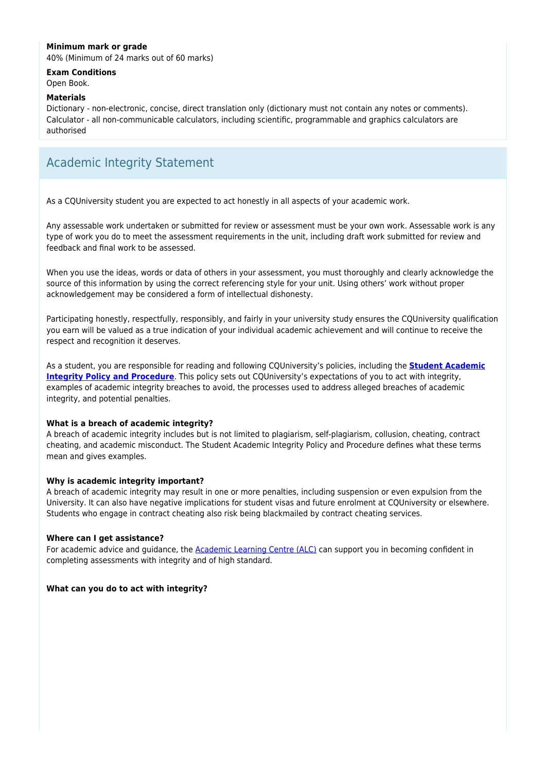#### **Minimum mark or grade**

40% (Minimum of 24 marks out of 60 marks)

#### **Exam Conditions**

Open Book.

#### **Materials**

Dictionary - non-electronic, concise, direct translation only (dictionary must not contain any notes or comments). Calculator - all non-communicable calculators, including scientific, programmable and graphics calculators are authorised

## Academic Integrity Statement

As a CQUniversity student you are expected to act honestly in all aspects of your academic work.

Any assessable work undertaken or submitted for review or assessment must be your own work. Assessable work is any type of work you do to meet the assessment requirements in the unit, including draft work submitted for review and feedback and final work to be assessed.

When you use the ideas, words or data of others in your assessment, you must thoroughly and clearly acknowledge the source of this information by using the correct referencing style for your unit. Using others' work without proper acknowledgement may be considered a form of intellectual dishonesty.

Participating honestly, respectfully, responsibly, and fairly in your university study ensures the CQUniversity qualification you earn will be valued as a true indication of your individual academic achievement and will continue to receive the respect and recognition it deserves.

As a student, you are responsible for reading and following CQUniversity's policies, including the **[Student Academic](https://www.cqu.edu.au/policy/sharepoint-document-download?file_uri={BE8380F3-F86D-4C55-AC0D-84A81EAFD6A2}/Student%20Academic%20Integrity%20Policy%20and%20Procedure%20(formerly%20known%20as%20the%20Academic%20Misconduct%20Procedure).pdf) [Integrity Policy and Procedure](https://www.cqu.edu.au/policy/sharepoint-document-download?file_uri={BE8380F3-F86D-4C55-AC0D-84A81EAFD6A2}/Student%20Academic%20Integrity%20Policy%20and%20Procedure%20(formerly%20known%20as%20the%20Academic%20Misconduct%20Procedure).pdf)**. This policy sets out CQUniversity's expectations of you to act with integrity, examples of academic integrity breaches to avoid, the processes used to address alleged breaches of academic integrity, and potential penalties.

#### **What is a breach of academic integrity?**

A breach of academic integrity includes but is not limited to plagiarism, self-plagiarism, collusion, cheating, contract cheating, and academic misconduct. The Student Academic Integrity Policy and Procedure defines what these terms mean and gives examples.

#### **Why is academic integrity important?**

A breach of academic integrity may result in one or more penalties, including suspension or even expulsion from the University. It can also have negative implications for student visas and future enrolment at CQUniversity or elsewhere. Students who engage in contract cheating also risk being blackmailed by contract cheating services.

#### **Where can I get assistance?**

For academic advice and guidance, the **Academic Learning Centre (ALC)** can support you in becoming confident in completing assessments with integrity and of high standard.

#### **What can you do to act with integrity?**